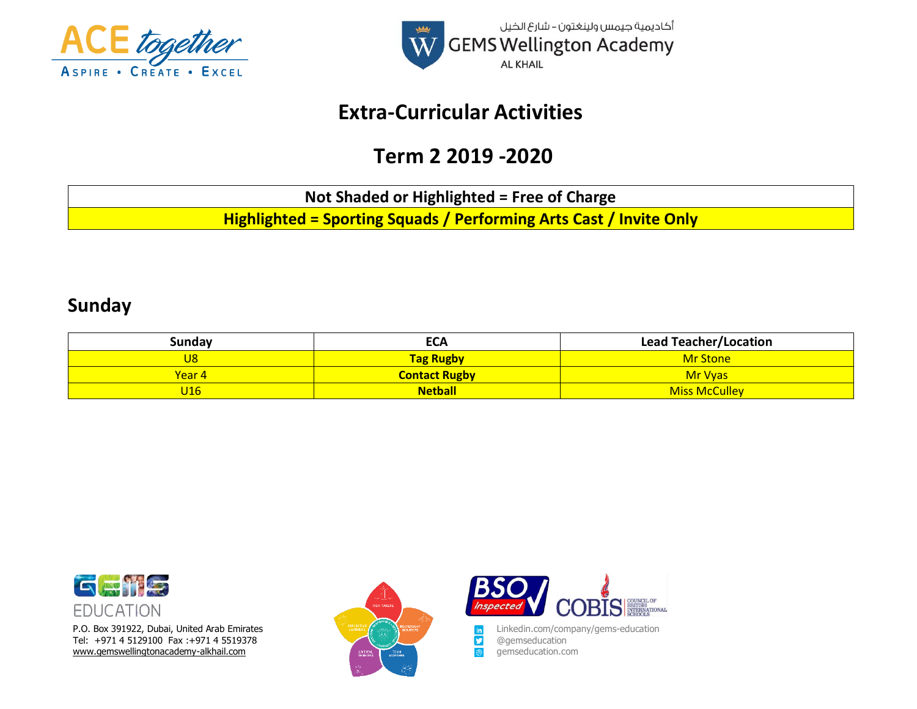



## **Extra-Curricular Activities**

# **Term 2 2019 -2020**

**Not Shaded or Highlighted = Free of Charge**

**Highlighted = Sporting Squads / Performing Arts Cast / Invite Only**

#### **Sunday**

| Sunday | <b>ECA</b>           | <b>Lead Teacher/Location</b> |
|--------|----------------------|------------------------------|
| J8     | <b>Tag Rugby</b>     | <b>Mr Stone</b>              |
| Year 4 | <b>Contact Rugby</b> | <b>Mr Vyas</b>               |
| J16    | <b>Netball</b>       | <b>Miss McCulley</b>         |



P.O. Box 391922, Dubai, United Arab Emirates Linkedin.com/company/gems-education<br>
Tel: +971 4 5129100 Fax :+971 4 5519378 Tel: +971 4 5129100 Fax :+971 4 5519378 @gemseducation [www.gemswellingtonacademy-alkhail.com](http://www.gemswellingtonacademy-alkhail.com/) gemseducation.com gemseducation.com



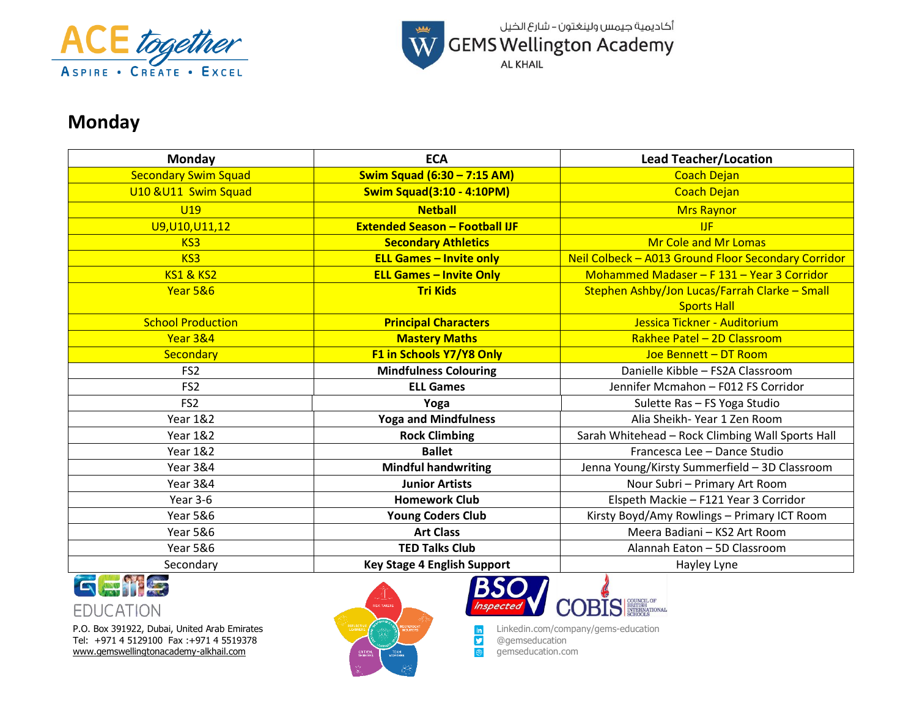



## **Monday**

| Monday                      | <b>ECA</b>                            | <b>Lead Teacher/Location</b>                        |
|-----------------------------|---------------------------------------|-----------------------------------------------------|
| <b>Secondary Swim Squad</b> | Swim Squad (6:30 - 7:15 AM)           | <b>Coach Dejan</b>                                  |
| U10 & U11 Swim Squad        | <b>Swim Squad(3:10 - 4:10PM)</b>      | <b>Coach Dejan</b>                                  |
| <b>U19</b>                  | <b>Netball</b>                        | <b>Mrs Raynor</b>                                   |
| U9, U10, U11, 12            | <b>Extended Season - Football IJF</b> | <b>IJF</b>                                          |
| KS <sub>3</sub>             | <b>Secondary Athletics</b>            | <b>Mr Cole and Mr Lomas</b>                         |
| KS <sub>3</sub>             | <b>ELL Games - Invite only</b>        | Neil Colbeck - A013 Ground Floor Secondary Corridor |
| <b>KS1 &amp; KS2</b>        | <b>ELL Games - Invite Only</b>        | Mohammed Madaser - F 131 - Year 3 Corridor          |
| Year 5&6                    | <b>Tri Kids</b>                       | Stephen Ashby/Jon Lucas/Farrah Clarke - Small       |
|                             |                                       | <b>Sports Hall</b>                                  |
| <b>School Production</b>    | <b>Principal Characters</b>           | Jessica Tickner - Auditorium                        |
| Year 3&4                    | <b>Mastery Maths</b>                  | Rakhee Patel - 2D Classroom                         |
| Secondary                   | F1 in Schools Y7/Y8 Only              | Joe Bennett - DT Room                               |
| FS <sub>2</sub>             | <b>Mindfulness Colouring</b>          | Danielle Kibble - FS2A Classroom                    |
| FS <sub>2</sub>             | <b>ELL Games</b>                      | Jennifer Mcmahon - F012 FS Corridor                 |
| FS <sub>2</sub>             | Yoga                                  | Sulette Ras - FS Yoga Studio                        |
| <b>Year 1&amp;2</b>         | <b>Yoga and Mindfulness</b>           | Alia Sheikh-Year 1 Zen Room                         |
| <b>Year 1&amp;2</b>         | <b>Rock Climbing</b>                  | Sarah Whitehead - Rock Climbing Wall Sports Hall    |
| <b>Year 1&amp;2</b>         | <b>Ballet</b>                         | Francesca Lee - Dance Studio                        |
| <b>Year 3&amp;4</b>         | <b>Mindful handwriting</b>            | Jenna Young/Kirsty Summerfield - 3D Classroom       |
| Year 3&4                    | <b>Junior Artists</b>                 | Nour Subri - Primary Art Room                       |
| Year 3-6                    | <b>Homework Club</b>                  | Elspeth Mackie - F121 Year 3 Corridor               |
| <b>Year 5&amp;6</b>         | <b>Young Coders Club</b>              | Kirsty Boyd/Amy Rowlings - Primary ICT Room         |
| <b>Year 5&amp;6</b>         | <b>Art Class</b>                      | Meera Badiani - KS2 Art Room                        |
| <b>Year 5&amp;6</b>         | <b>TED Talks Club</b>                 | Alannah Eaton - 5D Classroom                        |
| Secondary                   | <b>Key Stage 4 English Support</b>    | Hayley Lyne                                         |



**EDUCATION** 

Tel: +971 4 5129100 Fax :+971 4 5519378 @gemseducation **Dependication** and the state of the state of the state of the state of the state of the state of the state of the state of the state of the state of the state of the [www.gemswellingtonacademy-alkhail.com](http://www.gemswellingtonacademy-alkhail.com/) gemseducation.com gemseducation.com





P.O. Box 391922, Dubai, United Arab Emirates Linkedin.com/company/gems-education<br>
Tel: +971 4 5129100 Fax :+971 4 5519378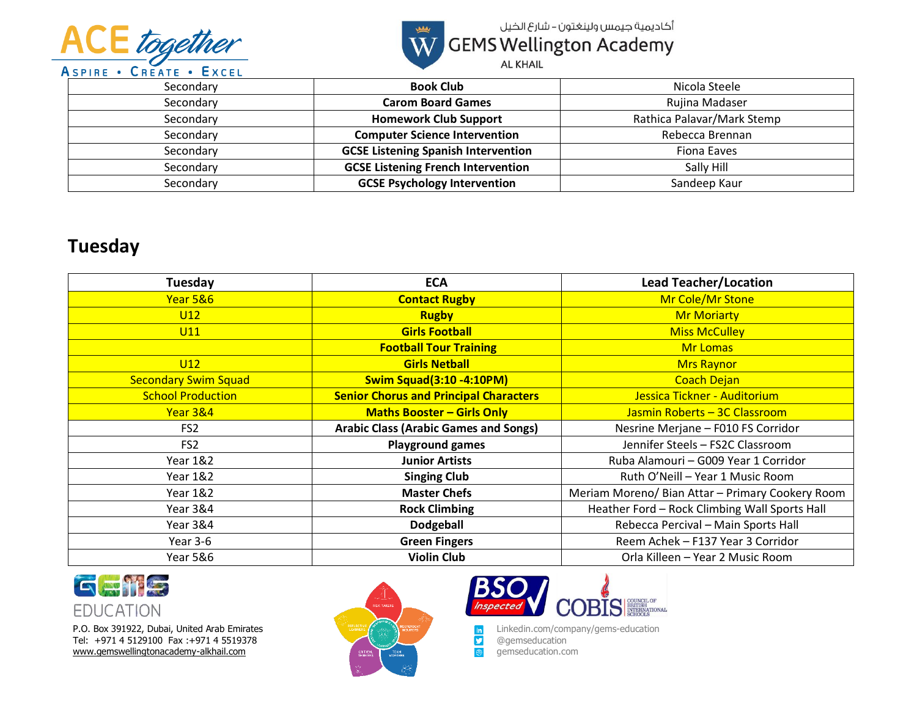



أكاديمية جيمس ولينغتون – شارع الخيل W GEMS Wellington Academy

**AL KHAIL** 

| Secondary | <b>Book Club</b>                           | Nicola Steele              |
|-----------|--------------------------------------------|----------------------------|
| Secondary | <b>Carom Board Games</b>                   | Rujina Madaser             |
| Secondary | <b>Homework Club Support</b>               | Rathica Palavar/Mark Stemp |
| Secondary | <b>Computer Science Intervention</b>       | Rebecca Brennan            |
| Secondary | <b>GCSE Listening Spanish Intervention</b> | Fiona Eaves                |
| Secondary | <b>GCSE Listening French Intervention</b>  | Sally Hill                 |
| Secondary | <b>GCSE Psychology Intervention</b>        | Sandeep Kaur               |

### **Tuesday**

| Tuesday                     | <b>ECA</b>                                    | <b>Lead Teacher/Location</b>                     |
|-----------------------------|-----------------------------------------------|--------------------------------------------------|
| Year 5&6                    | <b>Contact Rugby</b>                          | Mr Cole/Mr Stone                                 |
| U12                         | <b>Rugby</b>                                  | <b>Mr Moriarty</b>                               |
| U11                         | <b>Girls Football</b>                         | <b>Miss McCulley</b>                             |
|                             | <b>Football Tour Training</b>                 | Mr Lomas                                         |
| U12                         | <b>Girls Netball</b>                          | <b>Mrs Raynor</b>                                |
| <b>Secondary Swim Squad</b> | <b>Swim Squad(3:10 -4:10PM)</b>               | <b>Coach Dejan</b>                               |
| <b>School Production</b>    | <b>Senior Chorus and Principal Characters</b> | Jessica Tickner - Auditorium                     |
| Year 3&4                    | <b>Maths Booster - Girls Only</b>             | Jasmin Roberts - 3C Classroom                    |
| FS <sub>2</sub>             | <b>Arabic Class (Arabic Games and Songs)</b>  | Nesrine Merjane - F010 FS Corridor               |
| FS <sub>2</sub>             | <b>Playground games</b>                       | Jennifer Steels - FS2C Classroom                 |
| <b>Year 1&amp;2</b>         | <b>Junior Artists</b>                         | Ruba Alamouri - G009 Year 1 Corridor             |
| <b>Year 1&amp;2</b>         | <b>Singing Club</b>                           | Ruth O'Neill - Year 1 Music Room                 |
| <b>Year 1&amp;2</b>         | <b>Master Chefs</b>                           | Meriam Moreno/ Bian Attar - Primary Cookery Room |
| <b>Year 3&amp;4</b>         | <b>Rock Climbing</b>                          | Heather Ford - Rock Climbing Wall Sports Hall    |
| <b>Year 3&amp;4</b>         | <b>Dodgeball</b>                              | Rebecca Percival - Main Sports Hall              |
| Year 3-6                    | <b>Green Fingers</b>                          | Reem Achek - F137 Year 3 Corridor                |
| <b>Year 5&amp;6</b>         | <b>Violin Club</b>                            | Orla Killeen - Year 2 Music Room                 |



P.O. Box 391922, Dubai, United Arab Emirates Linkedin.com/company/gems-education<br>
Tel: +971 4 5129100 Fax :+971 4 5519378 Tel: +971 4 5129100 Fax :+971 4 5519378 @gemseducation **Dependication** and the state of the state of the state of the state of the state of the state of the state of the state of the state of the state of the state of the [www.gemswellingtonacademy-alkhail.com](http://www.gemswellingtonacademy-alkhail.com/) gemseducation.com gemseducation.com



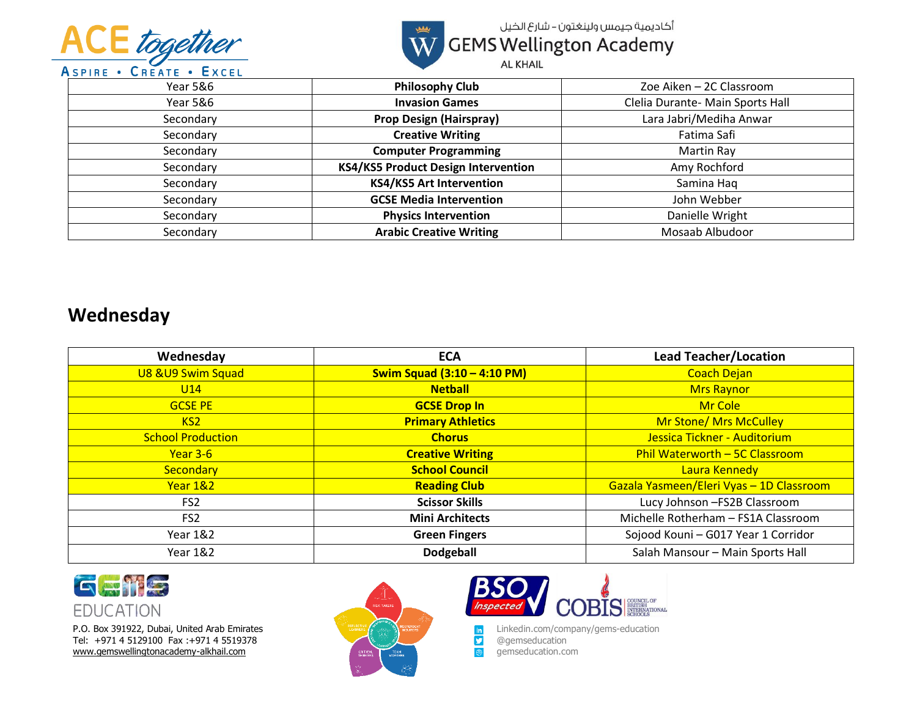



أكاديمية جيمس ولينغتون – شارع الخيل W GEMS Wellington Academy

**AL KHAIL** 

| <b>Year 5&amp;6</b> | <b>Philosophy Club</b>                     | Zoe Aiken - 2C Classroom         |
|---------------------|--------------------------------------------|----------------------------------|
| Year 5&6            | <b>Invasion Games</b>                      | Clelia Durante- Main Sports Hall |
| Secondary           | <b>Prop Design (Hairspray)</b>             | Lara Jabri/Mediha Anwar          |
| Secondary           | <b>Creative Writing</b>                    | Fatima Safi                      |
| Secondary           | <b>Computer Programming</b>                | Martin Ray                       |
| Secondary           | <b>KS4/KS5 Product Design Intervention</b> | Amy Rochford                     |
| Secondary           | <b>KS4/KS5 Art Intervention</b>            | Samina Haq                       |
| Secondary           | <b>GCSE Media Intervention</b>             | John Webber                      |
| Secondary           | <b>Physics Intervention</b>                | Danielle Wright                  |
| Secondary           | <b>Arabic Creative Writing</b>             | Mosaab Albudoor                  |

### **Wednesday**

| Wednesday                | <b>ECA</b>                  | <b>Lead Teacher/Location</b>             |
|--------------------------|-----------------------------|------------------------------------------|
| U8 & U9 Swim Squad       | Swim Squad (3:10 - 4:10 PM) | <b>Coach Dejan</b>                       |
| U14                      | <b>Netball</b>              | <b>Mrs Raynor</b>                        |
| <b>GCSE PE</b>           | <b>GCSE Drop In</b>         | Mr Cole                                  |
| KS2                      | <b>Primary Athletics</b>    | <b>Mr Stone/ Mrs McCulley</b>            |
| <b>School Production</b> | <b>Chorus</b>               | Jessica Tickner - Auditorium             |
| Year 3-6                 | <b>Creative Writing</b>     | Phil Waterworth - 5C Classroom           |
| Secondary                | <b>School Council</b>       | Laura Kennedy                            |
| Year 1&2                 | <b>Reading Club</b>         | Gazala Yasmeen/Eleri Vyas - 1D Classroom |
| FS <sub>2</sub>          | <b>Scissor Skills</b>       | Lucy Johnson - FS2B Classroom            |
| FS <sub>2</sub>          | <b>Mini Architects</b>      | Michelle Rotherham - FS1A Classroom      |
| Year 1&2                 | <b>Green Fingers</b>        | Sojood Kouni - G017 Year 1 Corridor      |
| Year 1&2                 | <b>Dodgeball</b>            | Salah Mansour - Main Sports Hall         |



P.O. Box 391922, Dubai, United Arab Emirates Linkedin.com/company/gems-education<br>
Tel: +971 4 5129100 Fax :+971 4 5519378 Tel: +971 4 5129100 Fax :+971 4 5519378 @gemseducation and a strategy of the strategy of the strategy of the strategy of the strategy of the strategy of the strategy of the strategy of the strategy of the strategy of the s [www.gemswellingtonacademy-alkhail.com](http://www.gemswellingtonacademy-alkhail.com/) gemseducation.com gemseducation.com